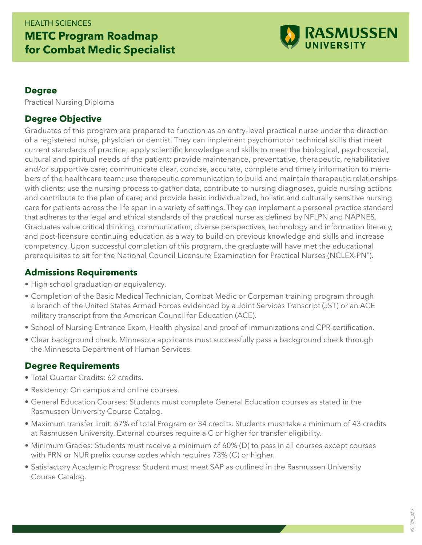## HEALTH SCIENCES **METC Program Roadmap for Combat Medic Specialist**



#### **Degree**

Practical Nursing Diploma

### **Degree Objective**

Graduates of this program are prepared to function as an entry-level practical nurse under the direction of a registered nurse, physician or dentist. They can implement psychomotor technical skills that meet current standards of practice; apply scientific knowledge and skills to meet the biological, psychosocial, cultural and spiritual needs of the patient; provide maintenance, preventative, therapeutic, rehabilitative and/or supportive care; communicate clear, concise, accurate, complete and timely information to members of the healthcare team; use therapeutic communication to build and maintain therapeutic relationships with clients; use the nursing process to gather data, contribute to nursing diagnoses, guide nursing actions and contribute to the plan of care; and provide basic individualized, holistic and culturally sensitive nursing care for patients across the life span in a variety of settings. They can implement a personal practice standard that adheres to the legal and ethical standards of the practical nurse as defined by NFLPN and NAPNES. Graduates value critical thinking, communication, diverse perspectives, technology and information literacy, and post-licensure continuing education as a way to build on previous knowledge and skills and increase competency. Upon successful completion of this program, the graduate will have met the educational prerequisites to sit for the National Council Licensure Examination for Practical Nurses (NCLEX-PN®).

### **Admissions Requirements**

- High school graduation or equivalency.
- Completion of the Basic Medical Technician, Combat Medic or Corpsman training program through a branch of the United States Armed Forces evidenced by a Joint Services Transcript (JST) or an ACE military transcript from the American Council for Education (ACE).
- School of Nursing Entrance Exam, Health physical and proof of immunizations and CPR certification.
- Clear background check. Minnesota applicants must successfully pass a background check through the Minnesota Department of Human Services.

#### **Degree Requirements**

- Total Quarter Credits: 62 credits.
- Residency: On campus and online courses.
- General Education Courses: Students must complete General Education courses as stated in the Rasmussen University Course Catalog.
- Maximum transfer limit: 67% of total Program or 34 credits. Students must take a minimum of 43 credits at Rasmussen University. External courses require a C or higher for transfer eligibility.
- Minimum Grades: Students must receive a minimum of 60% (D) to pass in all courses except courses with PRN or NUR prefix course codes which requires 73% (C) or higher.
- Satisfactory Academic Progress: Student must meet SAP as outlined in the Rasmussen University Course Catalog.